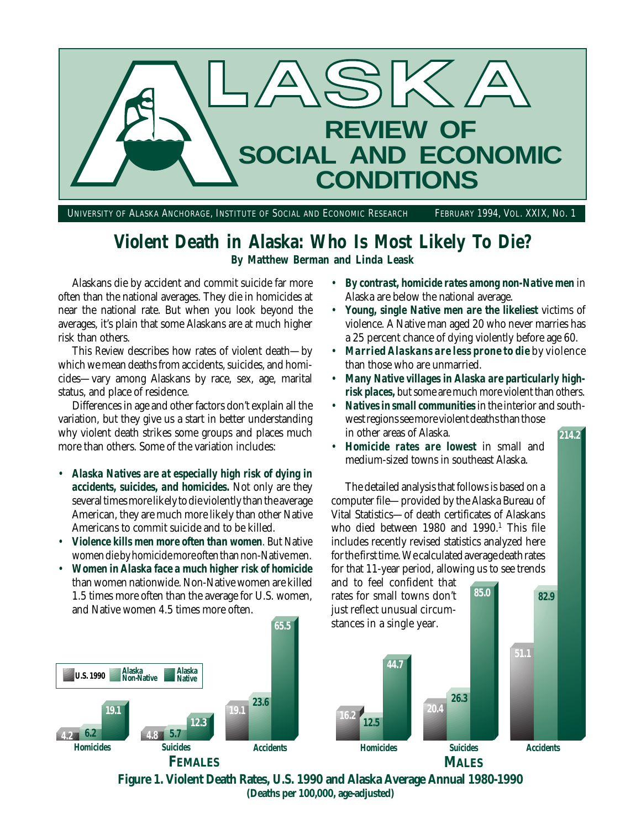

UNIVERSITY OF ALASKA ANCHORAGE, INSTITUTE OF SOCIAL AND ECONOMIC RESEARCH FEBRUARY 1994, VOL. XXIX, NO. 1

# **Violent Death in Alaska: Who Is Most Likely To Die?**

**By Matthew Berman and Linda Leask**

Alaskans die by accident and commit suicide far more often than the national averages. They die in homicides at near the national rate. But when you look beyond the averages, it's plain that some Alaskans are at much higher risk than others.

This *Review* describes how rates of violent death—by which we mean deaths from accidents, suicides, and homicides—vary among Alaskans by race, sex, age, marital status, and place of residence.

Differences in age and other factors don't explain all the variation, but they give us a start in better understanding why violent death strikes some groups and places much more than others. Some of the variation includes:

- *Alaska Natives are at especially high risk of dying in accidents, suicides, and homicides.* Not only are they several times more likely to die violently than the average American, they are much more likely than other Native Americans to commit suicide and to be killed.
- *Violence kills men more often than women*. But Native women die by homicide more often than non-Native men.
- *Women in Alaska face a much higher risk of homicide* than women nationwide. Non-Native women are killed 1.5 times more often than the average for U.S. women, and Native women 4.5 times more often.
- *By contrast, homicide rates among non-Native men* in Alaska are below the national average.
- *Young, single Native men are the likeliest* victims of violence. A Native man aged 20 who never marries has a 25 percent chance of dying violently before age 60.
- *Married Alaskans are less prone to die* by violence than those who are unmarried.
- *Many Native villages in Alaska are particularly highrisk places,* but some are much more violent than others.
- **214.2** • *Natives in small communities* in the interior and southwest regions see more violent deaths than those in other areas of Alaska.
- *Homicide rates are lowest* in small and medium-sized towns in southeast Alaska.

The detailed analysis that follows is based on a computer file—provided by the Alaska Bureau of Vital Statistics—of death certificates of Alaskans who died between 1980 and 1990.<sup>1</sup> This file includes recently revised statistics analyzed here for the first time. We calculated average death rates for that 11-year period, allowing us to see trends and to feel confident that

rates for small towns don't

**85.0**

**82.9**



**Figure 1. Violent Death Rates, U.S. 1990 and Alaska Average Annual 1980-1990 (Deaths per 100,000, age-adjusted)**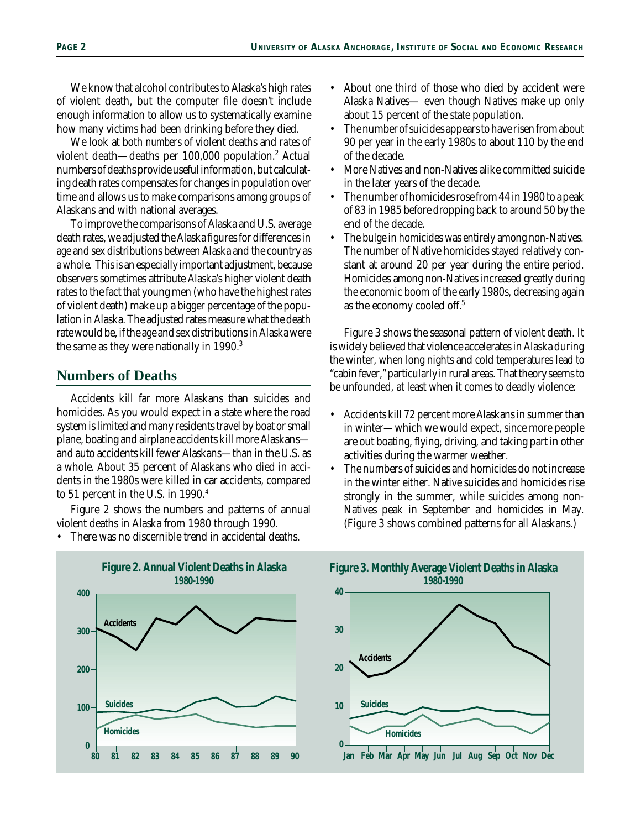We know that alcohol contributes to Alaska's high rates of violent death, but the computer file doesn't include enough information to allow us to systematically examine how many victims had been drinking before they died.

We look at both *numbers* of violent deaths and *rates* of violent death—deaths per 100,000 population.<sup>2</sup> Actual numbers of deaths provide useful information, but calculating death rates compensates for changes in population over time and allows us to make comparisons among groups of Alaskans and with national averages.

To improve the comparisons of Alaska and U.S. average death rates, we adjusted the Alaska figures for differences in age and sex distributions between Alaska and the country as a whole. This is an especially important adjustment, because observers sometimes attribute Alaska's higher violent death rates to the fact that young men (who have the highest rates of violent death) make up a bigger percentage of the population in Alaska. The adjusted rates measure what the death rate would be, if the age and sex distributions in Alaska were the same as they were nationally in 1990.<sup>3</sup>

## **Numbers of Deaths**

Accidents kill far more Alaskans than suicides and homicides. As you would expect in a state where the road system is limited and many residents travel by boat or small plane, boating and airplane accidents kill more Alaskans and auto accidents kill fewer Alaskans—than in the U.S. as a whole. About 35 percent of Alaskans who died in accidents in the 1980s were killed in car accidents, compared to 51 percent in the U.S. in 1990.<sup>4</sup>

Figure 2 shows the numbers and patterns of annual violent deaths in Alaska from 1980 through 1990.

There was no discernible trend in accidental deaths.

• About one third of those who died by accident were Alaska Natives— even though Natives make up only about 15 percent of the state population.

- The number of suicides appears to have risen from about 90 per year in the early 1980s to about 110 by the end of the decade.
- More Natives and non-Natives alike committed suicide in the later years of the decade.
- The number of homicides rose from 44 in 1980 to a peak of 83 in 1985 before dropping back to around 50 by the end of the decade.
- The bulge in homicides was entirely among non-Natives. The number of Native homicides stayed relatively constant at around 20 per year during the entire period. Homicides among non-Natives increased greatly during the economic boom of the early 1980s, decreasing again as the economy cooled off.5

Figure 3 shows the seasonal pattern of violent death. It is widely believed that violence accelerates in Alaska during the winter, when long nights and cold temperatures lead to "cabin fever," particularly in rural areas. That theory seems to be unfounded, at least when it comes to deadly violence:

- Accidents kill 72 percent more Alaskans in summer than in winter—which we would expect, since more people are out boating, flying, driving, and taking part in other activities during the warmer weather.
- The numbers of suicides and homicides do not increase in the winter either. Native suicides and homicides rise strongly in the summer, while suicides among non-Natives peak in September and homicides in May. (Figure 3 shows combined patterns for all Alaskans.)



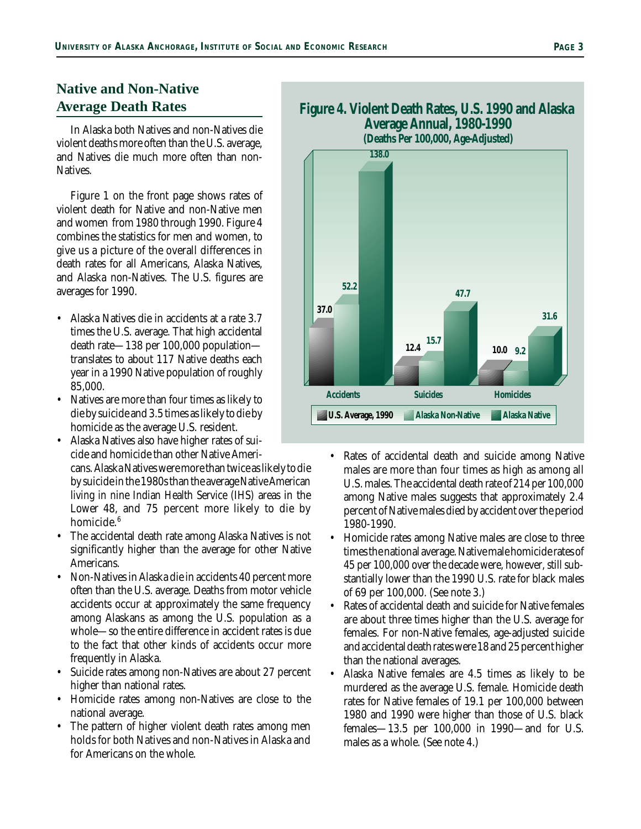# **Native and Non-Native Average Death Rates**

In Alaska both Natives and non-Natives die violent deaths more often than the U.S. average, and Natives die much more often than non-**Natives** 

Figure 1 on the front page shows rates of violent death for Native and non-Native men and women from 1980 through 1990. Figure 4 combines the statistics for men and women, to give us a picture of the overall differences in death rates for all Americans, Alaska Natives, and Alaska non-Natives. The U.S. figures are averages for 1990.

- Alaska Natives die in accidents at a rate 3.7 times the U.S. average. That high accidental death rate—138 per 100,000 population translates to about 117 Native deaths each year in a 1990 Native population of roughly 85,000.
- Natives are more than four times as likely to die by suicide and 3.5 times as likely to die by homicide as the average U.S. resident.
- Alaska Natives also have higher rates of suicide and homicide than other Native Ameri-

cans. Alaska Natives were more than twice as likely to die by suicide in the 1980s than the average Native American living in nine Indian Health Service (IHS) areas in the Lower 48, and 75 percent more likely to die by homicide.<sup>6</sup>

- The accidental death rate among Alaska Natives is not significantly higher than the average for other Native Americans.
- Non-Natives in Alaska die in accidents 40 percent more often than the U.S. average. Deaths from motor vehicle accidents occur at approximately the same frequency among Alaskans as among the U.S. population as a whole—so the entire difference in accident rates is due to the fact that other kinds of accidents occur more frequently in Alaska.
- Suicide rates among non-Natives are about 27 percent higher than national rates.
- Homicide rates among non-Natives are close to the national average.
- The pattern of higher violent death rates among men holds for both Natives and non-Natives in Alaska and for Americans on the whole.





- Rates of accidental death and suicide among Native males are more than four times as high as among all U.S. males. The accidental death rate of 214 per 100,000 among Native males suggests that approximately 2.4 percent of Native males died by accident over the period 1980-1990.
- Homicide rates among Native males are close to three times the national average. Native male homicide rates of 45 per 100,000 over the decade were, however, still substantially lower than the 1990 U.S. rate for black males of 69 per 100,000. (See note 3.)
- Rates of accidental death and suicide for Native females are about three times higher than the U.S. average for females. For non-Native females, age-adjusted suicide and accidental death rates were 18 and 25 percent higher than the national averages.
- Alaska Native females are 4.5 times as likely to be murdered as the average U.S. female. Homicide death rates for Native females of 19.1 per 100,000 between 1980 and 1990 were higher than those of U.S. black females—13.5 per 100,000 in 1990—and for U.S. males as a whole. (See note 4.)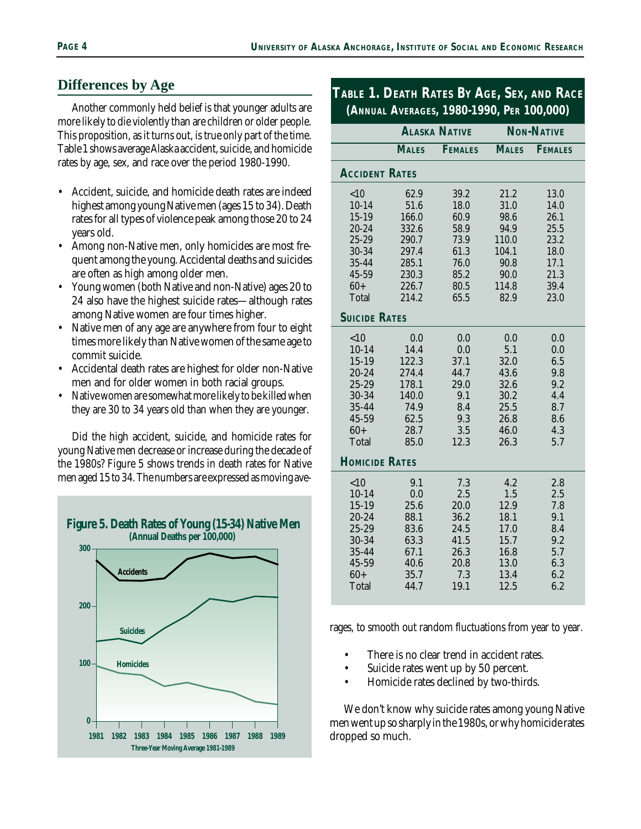# **Differences by Age**

Another commonly held belief is that younger adults are more likely to die violently than are children or older people. This proposition, as it turns out, is true only part of the time. Table 1 shows average Alaska accident, suicide, and homicide rates by age, sex, and race over the period 1980-1990.

- Accident, suicide, and homicide death rates are indeed highest among young Native men (ages 15 to 34). Death rates for all types of violence peak among those 20 to 24 years old.
- Among non-Native men, only homicides are most frequent among the young. Accidental deaths and suicides are often as high among older men.
- Young women (both Native and non-Native) ages 20 to 24 also have the highest suicide rates—although rates among Native women are four times higher.
- Native men of any age are anywhere from four to eight times more likely than Native women of the same age to commit suicide.
- Accidental death rates are highest for older non-Native men and for older women in both racial groups.
- Native women are somewhat more likely to be killed when they are 30 to 34 years old than when they are younger.

Did the high accident, suicide, and homicide rates for young Native men decrease or increase during the decade of the 1980s? Figure 5 shows trends in death rates for Native men aged 15 to 34. The numbers are expressed as moving ave-



# **TABLE 1. DEATH RATES BY AGE, SEX, AND RACE (ANNUAL AVERAGES, 1980-1990, PER 100,000)**

|                       |              | <b>ALASKA NATIVE</b> | <b>NON-NATIVE</b> |                |  |  |  |
|-----------------------|--------------|----------------------|-------------------|----------------|--|--|--|
|                       | <b>MALES</b> | <b>FEMALES</b>       | <b>MALES</b>      | <b>FEMALES</b> |  |  |  |
| <b>ACCIDENT RATES</b> |              |                      |                   |                |  |  |  |
| < 10                  | 62.9         | 39.2                 | 21.2              | 13.0           |  |  |  |
| $10 - 14$             | 51.6         | 18.0                 | 31.0              | 14.0           |  |  |  |
| $15 - 19$             | 166.0        | 60.9                 | 98.6              | 26.1           |  |  |  |
| 20-24                 | 332.6        | 58.9                 | 94.9              | 25.5           |  |  |  |
| 25-29                 | 290.7        | 73.9                 | 110.0             | 23.2           |  |  |  |
| 30-34                 | 297.4        | 61.3                 | 104.1             | 18.0           |  |  |  |
| 35-44                 | 285.1        | 76.0                 | 90.8              | 17.1           |  |  |  |
| 45-59                 | 230.3        | 85.2                 | 90.0              | 21.3           |  |  |  |
| $60+$                 | 226.7        | 80.5                 | 114.8             | 39.4           |  |  |  |
| <b>Total</b>          | 214.2        | 65.5                 | 82.9              | 23.0           |  |  |  |
| <b>SUICIDE RATES</b>  |              |                      |                   |                |  |  |  |
| < 10                  | 0.0          | 0.0                  | 0.0               | 0.0            |  |  |  |
| $10-14$               | 14.4         | 0.0                  | 5.1               | 0.0            |  |  |  |
| $15 - 19$             | 122.3        | 37.1                 | 32.0              | 6.5            |  |  |  |
| $20 - 24$             | 274.4        | 44.7                 | 43.6              | 9.8            |  |  |  |
| 25-29                 | 178.1        | 29.0                 | 32.6              | 9.2            |  |  |  |
| 30-34                 | 140.0        | 9.1                  | 30.2              | 4.4            |  |  |  |
| 35-44                 | 74.9         | 8.4                  | 25.5              | 8.7            |  |  |  |
| 45-59                 | 62.5         | 9.3                  | 26.8              | 8.6            |  |  |  |
| $60+$                 | 28.7         | 3.5                  | 46.0              | 4.3            |  |  |  |
| <b>Total</b>          | 85.0         | 12.3                 | 26.3              | 5.7            |  |  |  |
| <b>HOMICIDE RATES</b> |              |                      |                   |                |  |  |  |
| < 10                  | 9.1          | 7.3                  | 4.2               | 2.8            |  |  |  |
| $10 - 14$             | 0.0          | 2.5                  | 1.5               | 2.5            |  |  |  |
| $15 - 19$             | 25.6         | 20.0                 | 12.9              | 7.8            |  |  |  |
| 20-24                 | 88.1         | 36.2                 | 18.1              | 9.1            |  |  |  |
| 25-29                 | 83.6         | 24.5                 | 17.0              | 8.4            |  |  |  |
| 30-34                 | 63.3         | 41.5                 | 15.7              | 9.2            |  |  |  |
| 35-44                 | 67.1         | 26.3                 | 16.8              | 5.7            |  |  |  |
| 45-59                 | 40.6         | 20.8                 | 13.0              | 6.3            |  |  |  |
| $60+$                 | 35.7         | 7.3                  | 13.4              | 6.2            |  |  |  |
| Total                 | 44.7         | 19.1                 | 12.5              | 6.2            |  |  |  |
|                       |              |                      |                   |                |  |  |  |

rages, to smooth out random fluctuations from year to year.

- There is no clear trend in accident rates.
- Suicide rates went up by 50 percent.
- Homicide rates declined by two-thirds.

We don't know why suicide rates among young Native men went up so sharply in the 1980s, or why homicide rates dropped so much.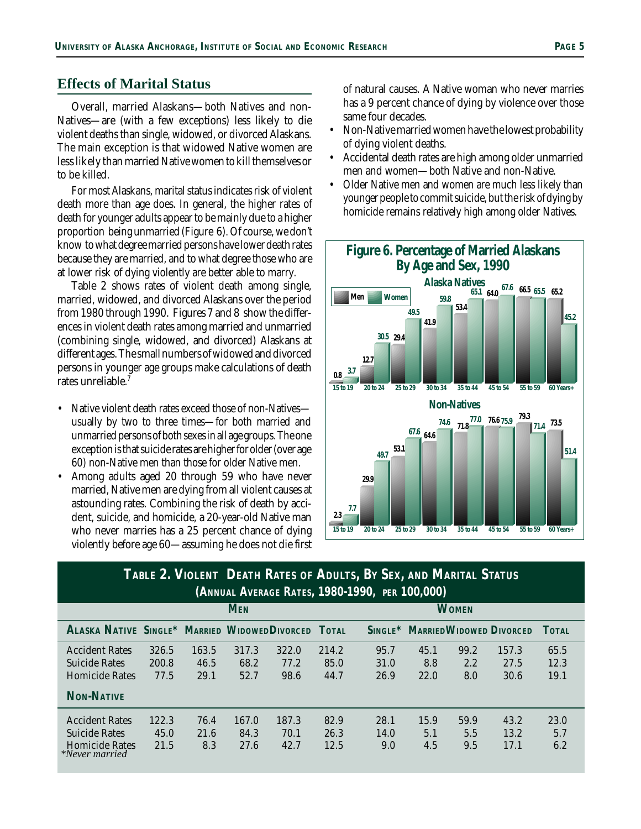## **Effects of Marital Status**

Overall, married Alaskans—both Natives and non-Natives—are (with a few exceptions) less likely to die violent deaths than single, widowed, or divorced Alaskans. The main exception is that widowed Native women are less likely than married Native women to kill themselves or to be killed.

For most Alaskans, marital status indicates risk of violent death more than age does. In general, the higher rates of death for younger adults appear to be mainly due to a higher proportion being unmarried (Figure 6). Of course, we don't know to what degree married persons have lower death rates because they are married, and to what degree those who are at lower risk of dying violently are better able to marry.

Table 2 shows rates of violent death among single, married, widowed, and divorced Alaskans over the period from 1980 through 1990. Figures 7 and 8 show the differences in violent death rates among married and unmarried (combining single, widowed, and divorced) Alaskans at different ages. The small numbers of widowed and divorced persons in younger age groups make calculations of death rates unreliable.<sup>7</sup>

- Native violent death rates exceed those of non-Natives usually by two to three times—for both married and unmarried persons of both sexes in all age groups. The one exception is that suicide rates are higher for older (over age 60) non-Native men than those for older Native men.
- Among adults aged 20 through 59 who have never married, Native men are dying from all violent causes at astounding rates. Combining the risk of death by accident, suicide, and homicide, a 20-year-old Native man who never marries has a 25 percent chance of dying violently before age 60—assuming he does not die first

of natural causes. A Native woman who never marries has a 9 percent chance of dying by violence over those same four decades.

- Non-Native married women have the lowest probability of dying violent deaths.
- Accidental death rates are high among older unmarried men and women—both Native and non-Native.
- Older Native men and women are much less likely than younger people to commit suicide, but the risk of dying by homicide remains relatively high among older Natives.



## **TABLE 2. VIOLENT DEATH RATES OF ADULTS, BY SEX, AND MARITAL STATUS (ANNUAL AVERAGE RATES, 1980-1990, PER 100,000)**

|                                               |       |       | <b>MEN</b> |       |       |            |      | <b>WOMEN</b> |                                |       |  |
|-----------------------------------------------|-------|-------|------------|-------|-------|------------|------|--------------|--------------------------------|-------|--|
| ALASKA NATIVE SINGLE* MARRIED WIDOWEDDIVORCED |       |       |            |       | TOTAL | $SincLE^*$ |      |              | <b>MARRIEDWIDOWED DIVORCED</b> | TOTAL |  |
| <b>Accident Rates</b>                         | 326.5 | 163.5 | 317.3      | 322.0 | 214.2 | 95.7       | 45.1 | 99.2         | 157.3                          | 65.5  |  |
| <b>Suicide Rates</b>                          | 200.8 | 46.5  | 68.2       | 77.2  | 85.0  | 31.0       | 8.8  | 2.2          | 27.5                           | 12.3  |  |
| <b>Homicide Rates</b>                         | 77.5  | 29.1  | 52.7       | 98.6  | 44.7  | 26.9       | 22.0 | 8.0          | 30.6                           | 19.1  |  |
| <b>NON-NATIVE</b>                             |       |       |            |       |       |            |      |              |                                |       |  |
| <b>Accident Rates</b>                         | 122.3 | 76.4  | 167.0      | 187.3 | 82.9  | 28.1       | 15.9 | 59.9         | 43.2                           | 23.0  |  |
| <b>Suicide Rates</b>                          | 45.0  | 21.6  | 84.3       | 70.1  | 26.3  | 14.0       | 5.1  | 5.5          | 13.2                           | 5.7   |  |
| <b>Homicide Rates</b><br>*Never married       | 21.5  | 8.3   | 27.6       | 42.7  | 12.5  | 9.0        | 4.5  | 9.5          | 17.1                           | 6.2   |  |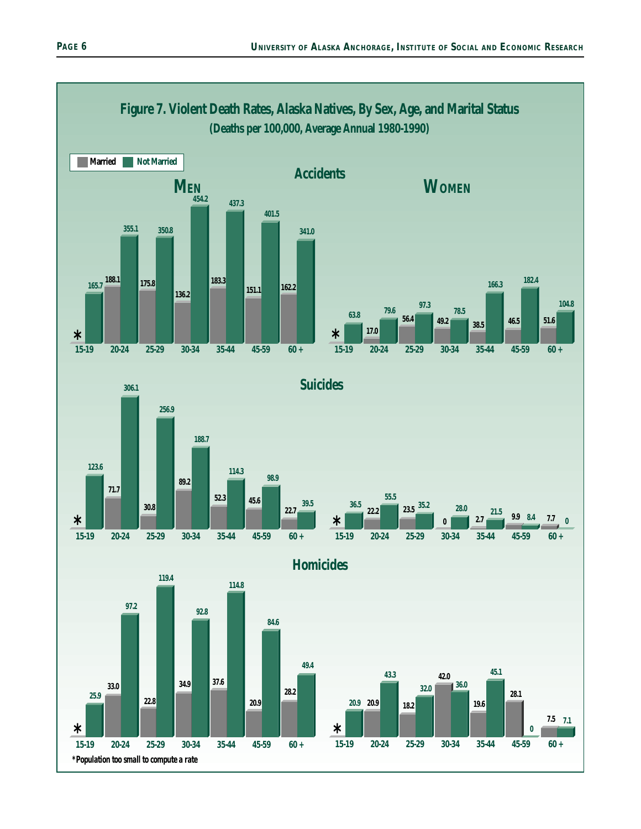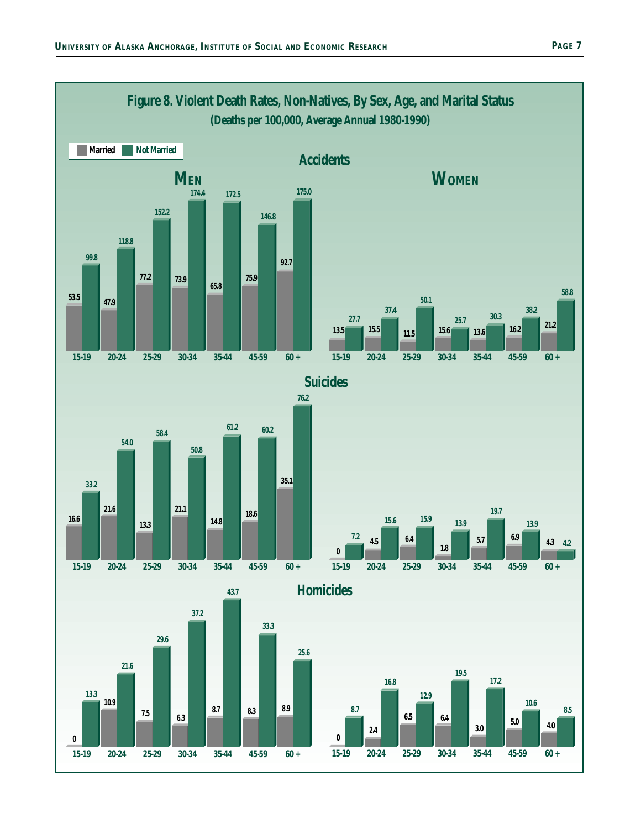![](_page_6_Figure_1.jpeg)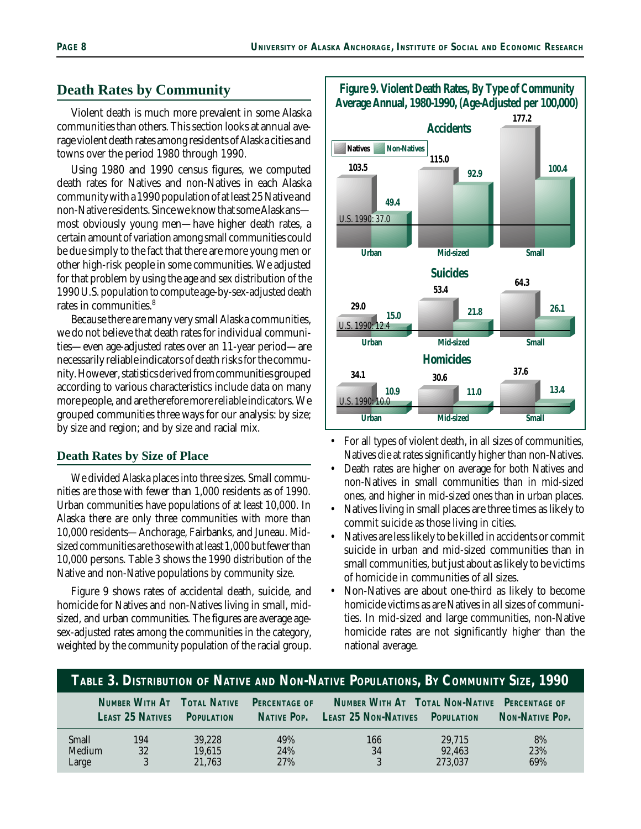## **Death Rates by Community**

Violent death is much more prevalent in some Alaska communities than others. This section looks at annual average violent death rates among residents of Alaska cities and towns over the period 1980 through 1990.

Using 1980 and 1990 census figures, we computed death rates for Natives and non-Natives in each Alaska community with a 1990 population of at least 25 Native and non-Native residents. Since we know that some Alaskans most obviously young men—have higher death rates, a certain amount of variation among small communities could be due simply to the fact that there are more young men or other high-risk people in some communities. We adjusted for that problem by using the age and sex distribution of the 1990 U.S. population to compute age-by-sex-adjusted death rates in communities.<sup>8</sup>

Because there are many very small Alaska communities, we do not believe that death rates for individual communities—even age-adjusted rates over an 11-year period—are necessarily reliable indicators of death risks for the community. However, statistics derived from communities grouped according to various characteristics include data on many more people, and are therefore more reliable indicators. We grouped communities three ways for our analysis: by size; by size and region; and by size and racial mix.

#### **Death Rates by Size of Place**

We divided Alaska places into three sizes. Small communities are those with fewer than 1,000 residents as of 1990. Urban communities have populations of at least 10,000. In Alaska there are only three communities with more than 10,000 residents—Anchorage, Fairbanks, and Juneau. Midsized communities are those with at least 1,000 but fewer than 10,000 persons. Table 3 shows the 1990 distribution of the Native and non-Native populations by community size.

Figure 9 shows rates of accidental death, suicide, and homicide for Natives and non-Natives living in small, midsized, and urban communities. The figures are average agesex-adjusted rates among the communities in the category, weighted by the community population of the racial group.

![](_page_7_Figure_8.jpeg)

**Figure 9. Violent Death Rates, By Type of Community Average Annual, 1980-1990, (Age-Adjusted per 100,000)**

- For all types of violent death, in all sizes of communities, Natives die at rates significantly higher than non-Natives.
- Death rates are higher on average for both Natives and non-Natives in small communities than in mid-sized ones, and higher in mid-sized ones than in urban places.
- Natives living in small places are three times as likely to commit suicide as those living in cities.
- Natives are less likely to be killed in accidents or commit suicide in urban and mid-sized communities than in small communities, but just about as likely to be victims of homicide in communities of all sizes.
- Non-Natives are about one-third as likely to become homicide victims as are Natives in all sizes of communities. In mid-sized and large communities, non-Native homicide rates are not significantly higher than the national average.

| TABLE 3. DISTRIBUTION OF NATIVE AND NON-NATIVE POPULATIONS, BY COMMUNITY SIZE, 1990 |                                                        |                            |                                     |                                                                                         |                             |                        |  |
|-------------------------------------------------------------------------------------|--------------------------------------------------------|----------------------------|-------------------------------------|-----------------------------------------------------------------------------------------|-----------------------------|------------------------|--|
|                                                                                     | NUMBER WITH AT TOTAL NATIVE<br><b>LEAST 25 NATIVES</b> | <b>POPULATION</b>          | <b>PERCENTAGE OF</b><br>NATIVE POP. | NUMBER WITH AT TOTAL NON-NATIVE PERCENTAGE OF<br><b>LEAST 25 NON-NATIVES POPULATION</b> |                             | <b>NON-NATIVE POP.</b> |  |
| <b>Small</b><br>Medium<br>Large                                                     | 194<br>32<br>3                                         | 39.228<br>19,615<br>21.763 | 49%<br>24%<br>27%                   | 166<br>34<br>3                                                                          | 29,715<br>92,463<br>273.037 | 8%<br>23%<br>69%       |  |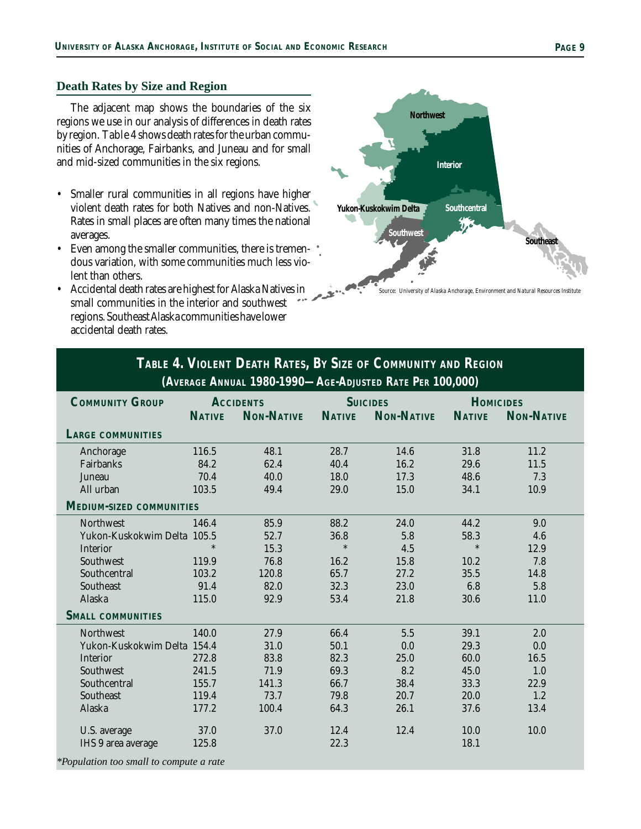## **Death Rates by Size and Region**

The adjacent map shows the boundaries of the six regions we use in our analysis of differences in death rates by region. Table 4 shows death rates for the urban communities of Anchorage, Fairbanks, and Juneau and for small and mid-sized communities in the six regions.

- Smaller rural communities in all regions have higher violent death rates for both Natives and non-Natives. Rates in small places are often many times the national averages.
- Even among the smaller communities, there is tremendous variation, with some communities much less violent than others.
- Accidental death rates are highest for Alaska Natives in small communities in the interior and southwest regions. Southeast Alaska communities have lower accidental death rates.

![](_page_8_Figure_7.jpeg)

# **TABLE 4. VIOLENT DEATH RATES, BY SIZE OF COMMUNITY AND REGION (AVERAGE ANNUAL 1980-1990—AGE-ADJUSTED RATE PER 100,000)**

| <b>COMMUNITY GROUP</b>                  | <b>ACCIDENTS</b> |                   |               | <b>SUICIDES</b>   | <b>HOMICIDES</b> |                   |
|-----------------------------------------|------------------|-------------------|---------------|-------------------|------------------|-------------------|
|                                         | <b>NATIVE</b>    | <b>NON-NATIVE</b> | <b>NATIVE</b> | <b>NON-NATIVE</b> | <b>NATIVE</b>    | <b>NON-NATIVE</b> |
| <b>LARGE COMMUNITIES</b>                |                  |                   |               |                   |                  |                   |
| Anchorage                               | 116.5            | 48.1              | 28.7          | 14.6              | 31.8             | 11.2              |
| Fairbanks                               | 84.2             | 62.4              | 40.4          | 16.2              | 29.6             | 11.5              |
| Juneau                                  | 70.4             | 40.0              | 18.0          | 17.3              | 48.6             | 7.3               |
| All urban                               | 103.5            | 49.4              | 29.0          | 15.0              | 34.1             | 10.9              |
| <b>MEDIUM-SIZED COMMUNITIES</b>         |                  |                   |               |                   |                  |                   |
| <b>Northwest</b>                        | 146.4            | 85.9              | 88.2          | 24.0              | 44.2             | 9.0               |
| Yukon-Kuskokwim Delta 105.5             |                  | 52.7              | 36.8          | 5.8               | 58.3             | 4.6               |
| Interior                                | $\ast$           | 15.3              | $\ast$        | 4.5               | $\ast$           | 12.9              |
| Southwest                               | 119.9            | 76.8              | 16.2          | 15.8              | 10.2             | 7.8               |
| Southcentral                            | 103.2            | 120.8             | 65.7          | 27.2              | 35.5             | 14.8              |
| Southeast                               | 91.4             | 82.0              | 32.3          | 23.0              | 6.8              | 5.8               |
| Alaska                                  | 115.0            | 92.9              | 53.4          | 21.8              | 30.6             | 11.0              |
| <b>SMALL COMMUNITIES</b>                |                  |                   |               |                   |                  |                   |
| <b>Northwest</b>                        | 140.0            | 27.9              | 66.4          | 5.5               | 39.1             | 2.0               |
| Yukon-Kuskokwim Delta 154.4             |                  | 31.0              | 50.1          | 0.0               | 29.3             | 0.0               |
| Interior                                | 272.8            | 83.8              | 82.3          | 25.0              | 60.0             | 16.5              |
| Southwest                               | 241.5            | 71.9              | 69.3          | 8.2               | 45.0             | 1.0               |
| Southcentral                            | 155.7            | 141.3             | 66.7          | 38.4              | 33.3             | 22.9              |
| Southeast                               | 119.4            | 73.7              | 79.8          | 20.7              | 20.0             | 1.2               |
| Alaska                                  | 177.2            | 100.4             | 64.3          | 26.1              | 37.6             | 13.4              |
| U.S. average                            | 37.0             | 37.0              | 12.4          | 12.4              | 10.0             | 10.0              |
| IHS 9 area average                      | 125.8            |                   | 22.3          |                   | 18.1             |                   |
| *Population too small to compute a rate |                  |                   |               |                   |                  |                   |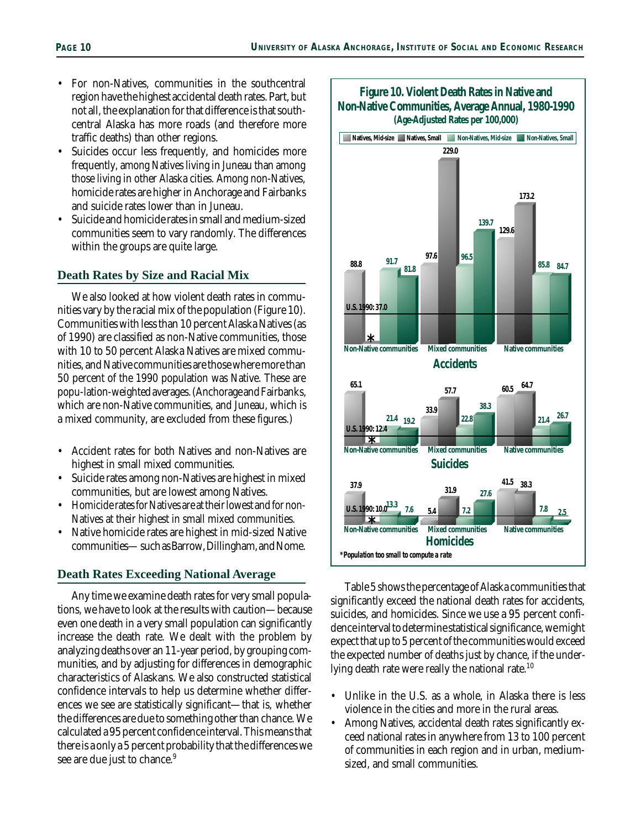- For non-Natives, communities in the southcentral region have the highest accidental death rates. Part, but not all, the explanation for that difference is that southcentral Alaska has more roads (and therefore more traffic deaths) than other regions.
- Suicides occur less frequently, and homicides more frequently, among Natives living in Juneau than among those living in other Alaska cities. Among non-Natives, homicide rates are higher in Anchorage and Fairbanks and suicide rates lower than in Juneau.
- Suicide and homicide rates in small and medium-sized communities seem to vary randomly. The differences within the groups are quite large.

#### **Death Rates by Size and Racial Mix**

We also looked at how violent death rates in communities vary by the racial mix of the population (Figure 10). Communities with less than 10 percent Alaska Natives (as of 1990) are classified as non-Native communities, those with 10 to 50 percent Alaska Natives are mixed communities, and Native communities are those where more than 50 percent of the 1990 population was Native. These are popu-lation-weighted averages. (Anchorage and Fairbanks, which are non-Native communities, and Juneau, which is a mixed community, are excluded from these figures.)

- Accident rates for both Natives and non-Natives are highest in small mixed communities.
- Suicide rates among non-Natives are highest in mixed communities, but are lowest among Natives.
- Homicide rates for Natives are at their lowest and for non-Natives at their highest in small mixed communities.
- Native homicide rates are highest in mid-sized Native communities— such as Barrow, Dillingham, and Nome.

#### **Death Rates Exceeding National Average**

Any time we examine death rates for very small populations, we have to look at the results with caution—because even one death in a very small population can significantly increase the death rate. We dealt with the problem by analyzing deaths over an 11-year period, by grouping communities, and by adjusting for differences in demographic characteristics of Alaskans. We also constructed statistical confidence intervals to help us determine whether differences we see are statistically significant—that is, whether the differences are due to something other than chance. We calculated a 95 percent confidence interval. This means that there is a only a 5 percent probability that the differences we see are due just to chance.<sup>9</sup>

![](_page_9_Figure_13.jpeg)

Table 5 shows the percentage of Alaska communities that significantly exceed the national death rates for accidents, suicides, and homicides. Since we use a 95 percent confidence interval to determine statistical significance, we might expect that up to 5 percent of the communities would exceed the expected number of deaths just by chance, if the underlying death rate were really the national rate.<sup>10</sup>

- Unlike in the U.S. as a whole, in Alaska there is less violence in the cities and more in the rural areas.
- Among Natives, accidental death rates significantly exceed national rates in anywhere from 13 to 100 percent of communities in each region and in urban, mediumsized, and small communities.

![](_page_9_Figure_17.jpeg)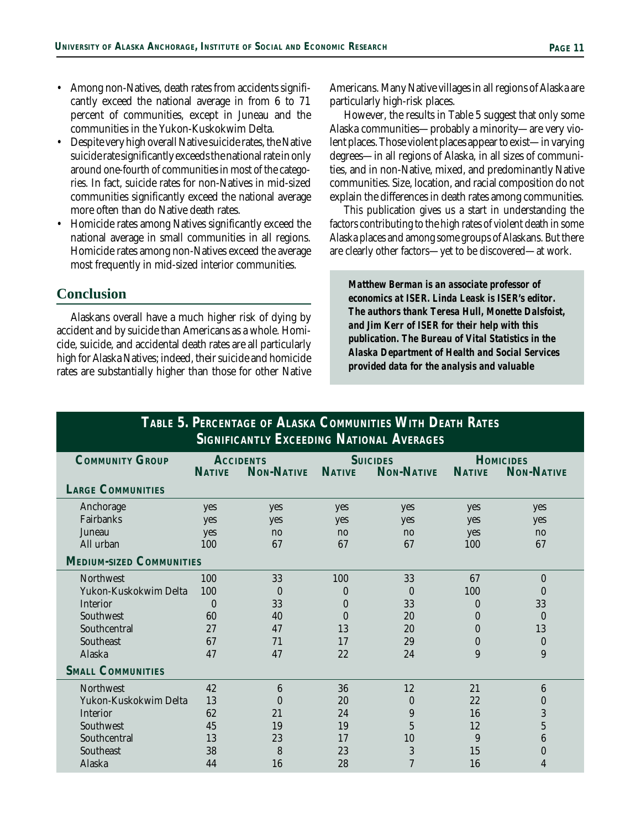- Among non-Natives, death rates from accidents significantly exceed the national average in from 6 to 71 percent of communities, except in Juneau and the communities in the Yukon-Kuskokwim Delta.
- Despite very high overall Native suicide rates, the Native suicide rate significantly exceeds the national rate in only around one-fourth of communities in most of the categories. In fact, suicide rates for non-Natives in mid-sized communities significantly exceed the national average more often than do Native death rates.
- Homicide rates among Natives significantly exceed the national average in small communities in all regions. Homicide rates among non-Natives exceed the average most frequently in mid-sized interior communities.

## **Conclusion**

Alaskans overall have a much higher risk of dying by accident and by suicide than Americans as a whole. Homicide, suicide, and accidental death rates are all particularly high for Alaska Natives; indeed, their suicide and homicide rates are substantially higher than those for other Native Americans. Many Native villages in all regions of Alaska are particularly high-risk places.

However, the results in Table 5 suggest that only some Alaska communities—probably a minority—are very violent places. Those violent places appear to exist—in varying degrees—in all regions of Alaska, in all sizes of communities, and in non-Native, mixed, and predominantly Native communities. Size, location, and racial composition do not explain the differences in death rates among communities.

This publication gives us a start in understanding the factors contributing to the high rates of violent death in some Alaska places and among some groups of Alaskans. But there are clearly other factors—yet to be discovered—at work.

*Matthew Berman is an associate professor of economics at ISER. Linda Leask is ISER's editor. The authors thank Teresa Hull, Monette Dalsfoist, and Jim Kerr of ISER for their help with this publication. The Bureau of Vital Statistics in the Alaska Department of Health and Social Services provided data for the analysis and valuable*

| TABLE 5. PERCENTAGE OF ALASKA COMMUNITIES WITH DEATH RATES |                  |                   |                 |                   |                  |                   |  |  |
|------------------------------------------------------------|------------------|-------------------|-----------------|-------------------|------------------|-------------------|--|--|
| <b>SIGNIFICANTLY EXCEEDING NATIONAL AVERAGES</b>           |                  |                   |                 |                   |                  |                   |  |  |
| <b>COMMUNITY GROUP</b>                                     | <b>ACCIDENTS</b> |                   | <b>SUICIDES</b> |                   | <b>HOMICIDES</b> |                   |  |  |
|                                                            | <b>NATIVE</b>    | <b>NON-NATIVE</b> | <b>NATIVE</b>   | <b>NON-NATIVE</b> | <b>NATIVE</b>    | <b>NON-NATIVE</b> |  |  |
| <b>LARGE COMMUNITIES</b>                                   |                  |                   |                 |                   |                  |                   |  |  |
| Anchorage                                                  | yes              | yes               | yes             | yes               | yes              | yes               |  |  |
| Fairbanks                                                  | yes              | yes               | yes             | yes               | yes              | yes               |  |  |
| Juneau                                                     | yes              | no                | no              | no                | yes              | no                |  |  |
| All urban                                                  | 100              | 67                | 67              | 67                | 100              | 67                |  |  |
| <b>MEDIUM-SIZED COMMUNITIES</b>                            |                  |                   |                 |                   |                  |                   |  |  |
| <b>Northwest</b>                                           | 100              | 33                | 100             | 33                | 67               | $\Omega$          |  |  |
| Yukon-Kuskokwim Delta                                      | 100              | $\Omega$          | 0               | $\theta$          | 100              | 0                 |  |  |
| <b>Interior</b>                                            | $\theta$         | 33                | 0               | 33                | $\bf{0}$         | 33                |  |  |
| Southwest                                                  | 60               | 40                | 0               | 20                | $\mathbf{0}$     | $\Omega$          |  |  |
| Southcentral                                               | 27               | 47                | 13              | 20                | 0                | 13                |  |  |
| Southeast                                                  | 67               | 71                | 17              | 29                | 0                | $\Omega$          |  |  |
| Alaska                                                     | 47               | 47                | 22              | 2.4               | 9                | 9                 |  |  |
| <b>SMALL COMMUNITIES</b>                                   |                  |                   |                 |                   |                  |                   |  |  |
| <b>Northwest</b>                                           | 42               | 6                 | 36              | 12                | 21               | 6                 |  |  |
| Yukon-Kuskokwim Delta                                      | 13               | 0                 | 20              | $\theta$          | 22               | 0                 |  |  |
| <b>Interior</b>                                            | 62               | 2.1               | 2.4             | 9                 | 16               | 3                 |  |  |
| Southwest                                                  | 45               | 19                | 19              | $\overline{5}$    | 12               | $\overline{5}$    |  |  |
| Southcentral                                               | 13               | 23                | 17              | 10                | 9                | 6                 |  |  |
| Southeast                                                  | 38               | 8                 | 23              | 3                 | 15               | 0                 |  |  |
| Alaska                                                     | 44               | 16                | 28              | $\overline{7}$    | 16               | 4                 |  |  |